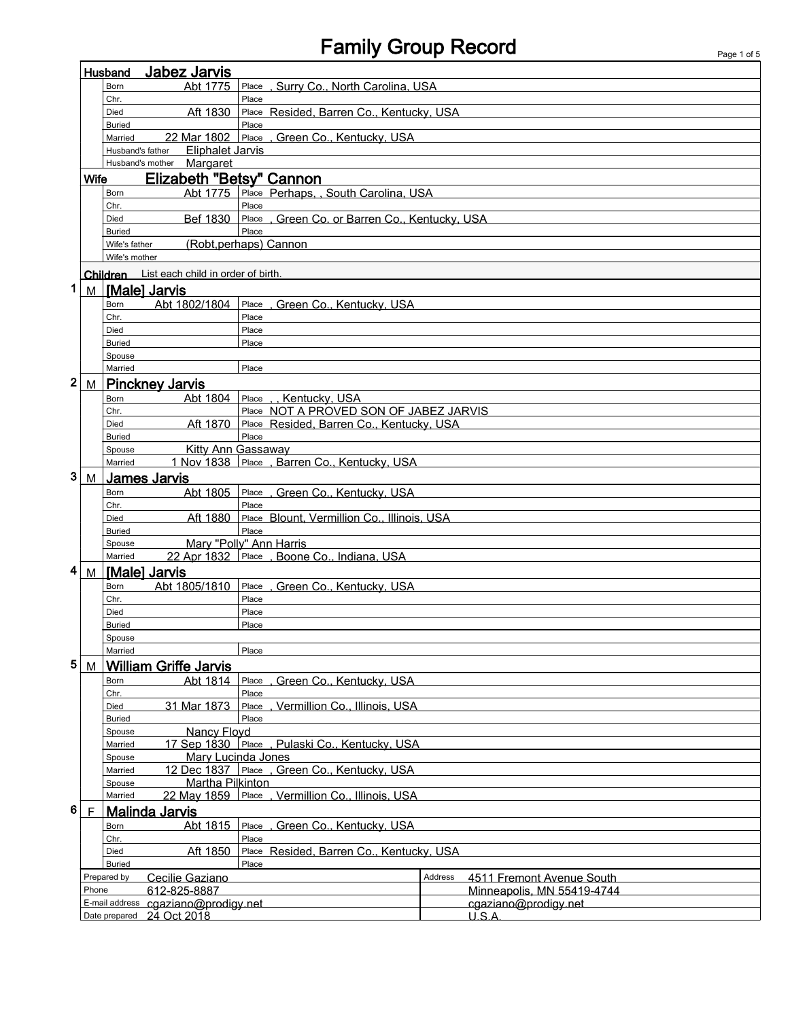## Family Group Record Page 1 of 5

| Jabez Jarvis<br>Husband                                         |             |                                                                             |                                                  |                                                   |         |                            |  |  |
|-----------------------------------------------------------------|-------------|-----------------------------------------------------------------------------|--------------------------------------------------|---------------------------------------------------|---------|----------------------------|--|--|
|                                                                 |             | Born                                                                        | Abt 1775                                         | Place, Surry Co., North Carolina, USA             |         |                            |  |  |
|                                                                 |             | Chr.                                                                        |                                                  | Place                                             |         |                            |  |  |
|                                                                 |             | Died                                                                        | Aft 1830                                         | Place Resided, Barren Co., Kentucky, USA          |         |                            |  |  |
|                                                                 |             | <b>Buried</b>                                                               |                                                  | Place                                             |         |                            |  |  |
|                                                                 |             | Married                                                                     | 22 Mar 1802                                      | Place<br><u>, Green Co., Kentucky, USA</u>        |         |                            |  |  |
|                                                                 |             | Husband's father                                                            | <b>Eliphalet Jarvis</b>                          |                                                   |         |                            |  |  |
|                                                                 |             | Husband's mother                                                            | Margaret                                         |                                                   |         |                            |  |  |
|                                                                 | <b>Wife</b> |                                                                             |                                                  | Elizabeth "Betsy" Cannon                          |         |                            |  |  |
|                                                                 |             | Born                                                                        | Abt 1775                                         | Place Perhaps, , South Carolina, USA              |         |                            |  |  |
|                                                                 |             | Chr.                                                                        |                                                  | Place                                             |         |                            |  |  |
|                                                                 |             | Died                                                                        | Bef 1830                                         | Place, Green Co. or Barren Co., Kentucky, USA     |         |                            |  |  |
|                                                                 |             | <b>Buried</b>                                                               | Place<br>(Robt, perhaps) Cannon<br>Wife's father |                                                   |         |                            |  |  |
|                                                                 |             | Wife's mother                                                               |                                                  |                                                   |         |                            |  |  |
|                                                                 |             |                                                                             |                                                  |                                                   |         |                            |  |  |
|                                                                 |             |                                                                             | Children List each child in order of birth       |                                                   |         |                            |  |  |
| 1                                                               | M           | [Male] Jarvis                                                               |                                                  |                                                   |         |                            |  |  |
|                                                                 |             | Born                                                                        | Abt 1802/1804                                    | Place, Green Co., Kentucky, USA                   |         |                            |  |  |
|                                                                 |             | Chr.                                                                        |                                                  | Place                                             |         |                            |  |  |
|                                                                 |             | Died                                                                        |                                                  | Place                                             |         |                            |  |  |
|                                                                 |             | <b>Buried</b>                                                               |                                                  | Place                                             |         |                            |  |  |
|                                                                 |             | Spouse                                                                      |                                                  |                                                   |         |                            |  |  |
|                                                                 |             | Married                                                                     |                                                  | Place                                             |         |                            |  |  |
| $\mathbf 2$                                                     | M           |                                                                             | Pinckney Jarvis                                  |                                                   |         |                            |  |  |
|                                                                 |             | Abt 1804<br>Place<br>Kentucky, USA<br>Born                                  |                                                  |                                                   |         |                            |  |  |
|                                                                 |             | Chr.                                                                        |                                                  | Place NOT A PROVED SON OF JABEZ JARVIS            |         |                            |  |  |
|                                                                 |             | Died<br><b>Buried</b>                                                       | Aft 1870                                         | Place Resided, Barren Co., Kentucky, USA<br>Place |         |                            |  |  |
|                                                                 |             | Spouse                                                                      |                                                  | <b>Kitty Ann Gassaway</b>                         |         |                            |  |  |
|                                                                 |             | Married                                                                     |                                                  | 1 Nov 1838 Place . Barren Co., Kentucky, USA      |         |                            |  |  |
| 3                                                               | M           |                                                                             |                                                  |                                                   |         |                            |  |  |
|                                                                 |             | <b>James Jarvis</b>                                                         |                                                  |                                                   |         |                            |  |  |
|                                                                 |             | Born<br>Chr.                                                                | Abt 1805                                         | Place, Green Co., Kentucky, USA<br>Place          |         |                            |  |  |
| Place Blount, Vermillion Co., Illinois, USA<br>Aft 1880<br>Died |             |                                                                             |                                                  |                                                   |         |                            |  |  |
|                                                                 |             | Place<br><b>Buried</b>                                                      |                                                  |                                                   |         |                            |  |  |
|                                                                 |             | Mary "Polly" Ann Harris<br>Spouse                                           |                                                  |                                                   |         |                            |  |  |
|                                                                 |             | Married                                                                     |                                                  | 22 Apr 1832 Place , Boone Co., Indiana, USA       |         |                            |  |  |
| 4                                                               | M           | <b>Male] Jarvis</b>                                                         |                                                  |                                                   |         |                            |  |  |
|                                                                 |             | Born                                                                        | Abt 1805/1810                                    | Place, Green Co., Kentucky, USA                   |         |                            |  |  |
|                                                                 |             | Chr.                                                                        |                                                  | Place                                             |         |                            |  |  |
|                                                                 |             | Died                                                                        |                                                  | Place                                             |         |                            |  |  |
|                                                                 |             | <b>Buried</b>                                                               |                                                  | Place                                             |         |                            |  |  |
|                                                                 |             | Spouse                                                                      |                                                  |                                                   |         |                            |  |  |
|                                                                 |             | Married                                                                     | Place                                            |                                                   |         |                            |  |  |
| 5                                                               | M           |                                                                             | <b>William Griffe Jarvis</b>                     |                                                   |         |                            |  |  |
|                                                                 |             | Born                                                                        | Abt 1814                                         | Green Co., Kentucky, USA<br>Place                 |         |                            |  |  |
|                                                                 |             | Chr.                                                                        |                                                  | Place                                             |         |                            |  |  |
|                                                                 |             | Died                                                                        | 31 Mar 1873                                      | , Vermillion Co., Illinois, USA<br>Place          |         |                            |  |  |
|                                                                 |             | <b>Buried</b>                                                               |                                                  | Place                                             |         |                            |  |  |
|                                                                 |             | Spouse                                                                      | Nancy Floyd                                      |                                                   |         |                            |  |  |
|                                                                 |             | Married                                                                     |                                                  | 17 Sep 1830 Place, Pulaski Co., Kentucky, USA     |         |                            |  |  |
|                                                                 |             | Mary Lucinda Jones<br>Spouse<br>12 Dec 1837 Place, Green Co., Kentucky, USA |                                                  |                                                   |         |                            |  |  |
|                                                                 |             | Married                                                                     | Martha Pilkinton                                 |                                                   |         |                            |  |  |
|                                                                 |             | Spouse<br>Married                                                           | 22 May 1859                                      | Place<br>Vermillion Co., Illinois, USA            |         |                            |  |  |
| 6                                                               |             |                                                                             |                                                  |                                                   |         |                            |  |  |
|                                                                 | F           |                                                                             | <b>Malinda Jarvis</b>                            |                                                   |         |                            |  |  |
|                                                                 |             | Abt 1815<br>Green Co., Kentucky, USA<br>Place<br>Born<br>Place<br>Chr.      |                                                  |                                                   |         |                            |  |  |
|                                                                 |             | Died                                                                        | Aft 1850                                         | Place Resided, Barren Co., Kentucky, USA          |         |                            |  |  |
|                                                                 |             | <b>Buried</b>                                                               |                                                  | Place                                             |         |                            |  |  |
|                                                                 |             | Prepared by                                                                 | Cecilie Gaziano                                  |                                                   | Address | 4511 Fremont Avenue South  |  |  |
|                                                                 | Phone       |                                                                             | 612-825-8887                                     |                                                   |         | Minneapolis, MN 55419-4744 |  |  |
|                                                                 |             |                                                                             | E-mail address cgaziano@prodigy.net              |                                                   |         | cgaziano@prodigy.net       |  |  |
|                                                                 |             |                                                                             | Date prepared 24 Oct 2018                        |                                                   |         | U.S.A.                     |  |  |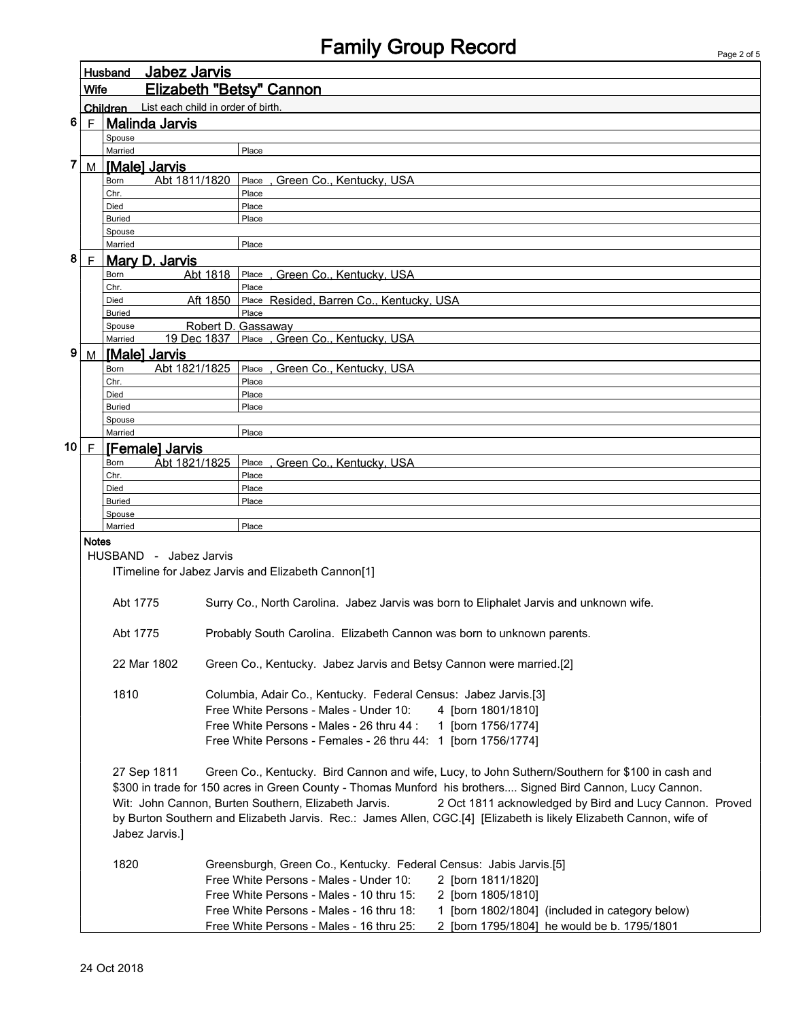| Elizabeth "Betsy" Cannon<br><b>Wife</b><br>Children List each child in order of birth.<br>$6 \mid F \mid$ Malinda Jarvis<br>Spouse<br>Married<br>Place<br>7<br>[Male] Jarvis<br>M<br>Abt 1811/1820<br>Green Co., Kentucky, USA<br>Place<br>Born<br>Place<br>Chr.<br>Died<br>Place<br>Place<br><b>Buried</b><br>Spouse<br>Married<br>Place |                                                                                                             |  |  |  |  |  |  |  |
|-------------------------------------------------------------------------------------------------------------------------------------------------------------------------------------------------------------------------------------------------------------------------------------------------------------------------------------------|-------------------------------------------------------------------------------------------------------------|--|--|--|--|--|--|--|
|                                                                                                                                                                                                                                                                                                                                           |                                                                                                             |  |  |  |  |  |  |  |
|                                                                                                                                                                                                                                                                                                                                           |                                                                                                             |  |  |  |  |  |  |  |
|                                                                                                                                                                                                                                                                                                                                           |                                                                                                             |  |  |  |  |  |  |  |
|                                                                                                                                                                                                                                                                                                                                           |                                                                                                             |  |  |  |  |  |  |  |
|                                                                                                                                                                                                                                                                                                                                           |                                                                                                             |  |  |  |  |  |  |  |
|                                                                                                                                                                                                                                                                                                                                           |                                                                                                             |  |  |  |  |  |  |  |
|                                                                                                                                                                                                                                                                                                                                           |                                                                                                             |  |  |  |  |  |  |  |
|                                                                                                                                                                                                                                                                                                                                           |                                                                                                             |  |  |  |  |  |  |  |
|                                                                                                                                                                                                                                                                                                                                           |                                                                                                             |  |  |  |  |  |  |  |
|                                                                                                                                                                                                                                                                                                                                           |                                                                                                             |  |  |  |  |  |  |  |
|                                                                                                                                                                                                                                                                                                                                           |                                                                                                             |  |  |  |  |  |  |  |
| 8<br>F<br><b>Mary D. Jarvis</b>                                                                                                                                                                                                                                                                                                           |                                                                                                             |  |  |  |  |  |  |  |
| Abt 1818<br>, Green Co., Kentucky, USA<br>Place<br>Born                                                                                                                                                                                                                                                                                   |                                                                                                             |  |  |  |  |  |  |  |
| Place<br>Chr.                                                                                                                                                                                                                                                                                                                             |                                                                                                             |  |  |  |  |  |  |  |
| Aft 1850<br>Died                                                                                                                                                                                                                                                                                                                          | Place Resided, Barren Co., Kentucky, USA                                                                    |  |  |  |  |  |  |  |
| Place<br><b>Buried</b>                                                                                                                                                                                                                                                                                                                    |                                                                                                             |  |  |  |  |  |  |  |
| Robert D. Gassaway<br>Spouse<br>19 Dec 1837 Place , Green Co., Kentucky, USA<br>Married                                                                                                                                                                                                                                                   |                                                                                                             |  |  |  |  |  |  |  |
| 9<br>M   [Male] Jarvis                                                                                                                                                                                                                                                                                                                    |                                                                                                             |  |  |  |  |  |  |  |
| Abt 1821/1825<br>Place, Green Co., Kentucky, USA<br>Born                                                                                                                                                                                                                                                                                  |                                                                                                             |  |  |  |  |  |  |  |
| Chr.<br>Place                                                                                                                                                                                                                                                                                                                             |                                                                                                             |  |  |  |  |  |  |  |
| Place<br>Died                                                                                                                                                                                                                                                                                                                             |                                                                                                             |  |  |  |  |  |  |  |
| <b>Buried</b><br>Place                                                                                                                                                                                                                                                                                                                    |                                                                                                             |  |  |  |  |  |  |  |
| Spouse<br>Place<br>Married                                                                                                                                                                                                                                                                                                                |                                                                                                             |  |  |  |  |  |  |  |
| 10   $F$  <br>[Female] Jarvis                                                                                                                                                                                                                                                                                                             |                                                                                                             |  |  |  |  |  |  |  |
| Abt 1821/1825<br>, Green Co., Kentucky, USA<br>Place<br>Born                                                                                                                                                                                                                                                                              |                                                                                                             |  |  |  |  |  |  |  |
| Chr.<br>Place                                                                                                                                                                                                                                                                                                                             |                                                                                                             |  |  |  |  |  |  |  |
| Place<br>Died                                                                                                                                                                                                                                                                                                                             |                                                                                                             |  |  |  |  |  |  |  |
| Place<br><b>Buried</b>                                                                                                                                                                                                                                                                                                                    |                                                                                                             |  |  |  |  |  |  |  |
| Spouse<br>Married<br>Place                                                                                                                                                                                                                                                                                                                |                                                                                                             |  |  |  |  |  |  |  |
| <b>Notes</b>                                                                                                                                                                                                                                                                                                                              |                                                                                                             |  |  |  |  |  |  |  |
| HUSBAND - Jabez Jarvis                                                                                                                                                                                                                                                                                                                    |                                                                                                             |  |  |  |  |  |  |  |
| ITimeline for Jabez Jarvis and Elizabeth Cannon[1]                                                                                                                                                                                                                                                                                        |                                                                                                             |  |  |  |  |  |  |  |
|                                                                                                                                                                                                                                                                                                                                           |                                                                                                             |  |  |  |  |  |  |  |
| Surry Co., North Carolina. Jabez Jarvis was born to Eliphalet Jarvis and unknown wife.<br>Abt 1775                                                                                                                                                                                                                                        |                                                                                                             |  |  |  |  |  |  |  |
|                                                                                                                                                                                                                                                                                                                                           |                                                                                                             |  |  |  |  |  |  |  |
| Abt 1775<br>Probably South Carolina. Elizabeth Cannon was born to unknown parents.                                                                                                                                                                                                                                                        |                                                                                                             |  |  |  |  |  |  |  |
|                                                                                                                                                                                                                                                                                                                                           |                                                                                                             |  |  |  |  |  |  |  |
| 22 Mar 1802<br>Green Co., Kentucky. Jabez Jarvis and Betsy Cannon were married.[2]                                                                                                                                                                                                                                                        |                                                                                                             |  |  |  |  |  |  |  |
|                                                                                                                                                                                                                                                                                                                                           |                                                                                                             |  |  |  |  |  |  |  |
| 1810<br>Columbia, Adair Co., Kentucky. Federal Census: Jabez Jarvis.[3]                                                                                                                                                                                                                                                                   |                                                                                                             |  |  |  |  |  |  |  |
| Free White Persons - Males - Under 10:<br>4 [born 1801/1810]                                                                                                                                                                                                                                                                              |                                                                                                             |  |  |  |  |  |  |  |
| Free White Persons - Males - 26 thru 44 :<br>1 [born 1756/1774]                                                                                                                                                                                                                                                                           |                                                                                                             |  |  |  |  |  |  |  |
| Free White Persons - Females - 26 thru 44: 1 [born 1756/1774]                                                                                                                                                                                                                                                                             |                                                                                                             |  |  |  |  |  |  |  |
|                                                                                                                                                                                                                                                                                                                                           |                                                                                                             |  |  |  |  |  |  |  |
| 27 Sep 1811                                                                                                                                                                                                                                                                                                                               | Green Co., Kentucky. Bird Cannon and wife, Lucy, to John Suthern/Southern for \$100 in cash and             |  |  |  |  |  |  |  |
|                                                                                                                                                                                                                                                                                                                                           | \$300 in trade for 150 acres in Green County - Thomas Munford his brothers Signed Bird Cannon, Lucy Cannon. |  |  |  |  |  |  |  |
| Wit: John Cannon, Burten Southern, Elizabeth Jarvis.<br>2 Oct 1811 acknowledged by Bird and Lucy Cannon. Proved                                                                                                                                                                                                                           |                                                                                                             |  |  |  |  |  |  |  |
| by Burton Southern and Elizabeth Jarvis. Rec.: James Allen, CGC.[4] [Elizabeth is likely Elizabeth Cannon, wife of                                                                                                                                                                                                                        |                                                                                                             |  |  |  |  |  |  |  |
| Jabez Jarvis.]                                                                                                                                                                                                                                                                                                                            |                                                                                                             |  |  |  |  |  |  |  |
|                                                                                                                                                                                                                                                                                                                                           |                                                                                                             |  |  |  |  |  |  |  |
| 1820<br>Greensburgh, Green Co., Kentucky. Federal Census: Jabis Jarvis.[5]                                                                                                                                                                                                                                                                |                                                                                                             |  |  |  |  |  |  |  |
| Free White Persons - Males - Under 10:<br>2 [born 1811/1820]                                                                                                                                                                                                                                                                              |                                                                                                             |  |  |  |  |  |  |  |
| Free White Persons - Males - 10 thru 15:<br>2 [born 1805/1810]                                                                                                                                                                                                                                                                            |                                                                                                             |  |  |  |  |  |  |  |
| Free White Persons - Males - 16 thru 18:<br>1 [born 1802/1804] (included in category below)                                                                                                                                                                                                                                               |                                                                                                             |  |  |  |  |  |  |  |
| Free White Persons - Males - 16 thru 25:<br>2 [born 1795/1804] he would be b. 1795/1801                                                                                                                                                                                                                                                   |                                                                                                             |  |  |  |  |  |  |  |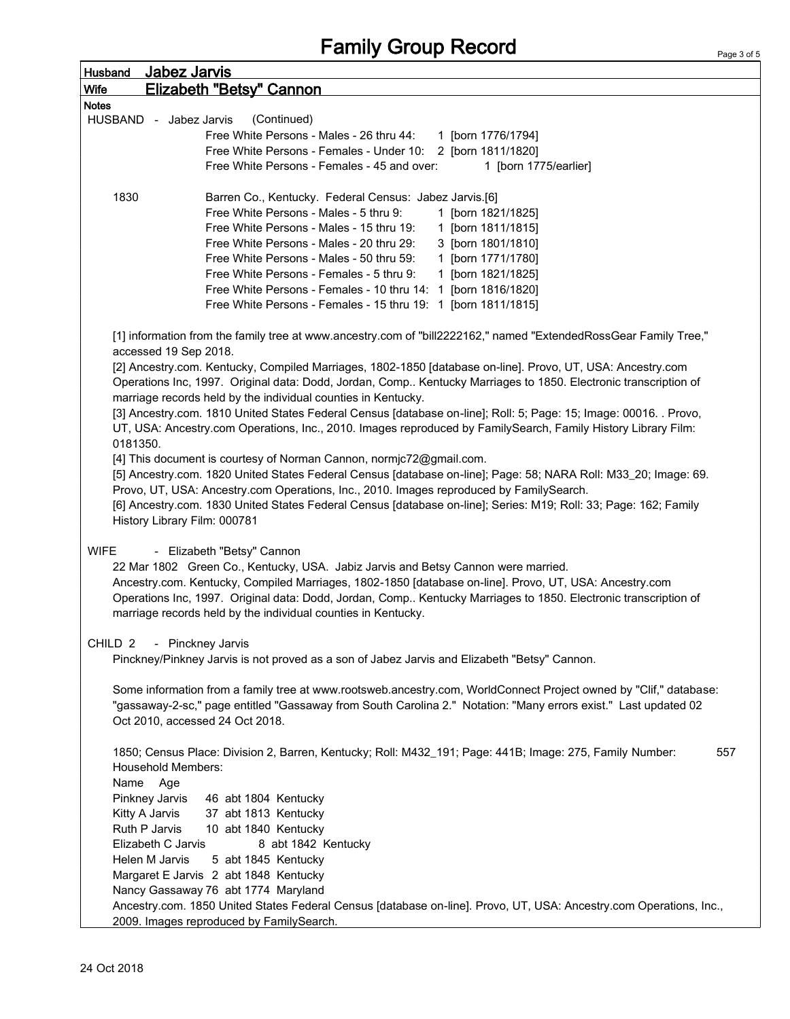| <b>Husband</b>     | Jabez Jarvis                                                                                                                                                                                                                                                                                                                                                                                                                          |  |  |  |  |  |
|--------------------|---------------------------------------------------------------------------------------------------------------------------------------------------------------------------------------------------------------------------------------------------------------------------------------------------------------------------------------------------------------------------------------------------------------------------------------|--|--|--|--|--|
| Wife               | Elizabeth "Betsy" Cannon                                                                                                                                                                                                                                                                                                                                                                                                              |  |  |  |  |  |
| <b>Notes</b>       |                                                                                                                                                                                                                                                                                                                                                                                                                                       |  |  |  |  |  |
|                    | (Continued)<br>HUSBAND - Jabez Jarvis                                                                                                                                                                                                                                                                                                                                                                                                 |  |  |  |  |  |
|                    | Free White Persons - Males - 26 thru 44:<br>1 [born 1776/1794]                                                                                                                                                                                                                                                                                                                                                                        |  |  |  |  |  |
|                    | Free White Persons - Females - Under 10: 2 [born 1811/1820]                                                                                                                                                                                                                                                                                                                                                                           |  |  |  |  |  |
|                    | Free White Persons - Females - 45 and over:<br>1 [born 1775/earlier]                                                                                                                                                                                                                                                                                                                                                                  |  |  |  |  |  |
|                    |                                                                                                                                                                                                                                                                                                                                                                                                                                       |  |  |  |  |  |
| 1830               | Barren Co., Kentucky. Federal Census: Jabez Jarvis.[6]                                                                                                                                                                                                                                                                                                                                                                                |  |  |  |  |  |
|                    | Free White Persons - Males - 5 thru 9:<br>1 [born 1821/1825]                                                                                                                                                                                                                                                                                                                                                                          |  |  |  |  |  |
|                    | Free White Persons - Males - 15 thru 19:<br>1 [born 1811/1815]                                                                                                                                                                                                                                                                                                                                                                        |  |  |  |  |  |
|                    | Free White Persons - Males - 20 thru 29:<br>3 [born 1801/1810]                                                                                                                                                                                                                                                                                                                                                                        |  |  |  |  |  |
|                    | Free White Persons - Males - 50 thru 59:<br>1 [born 1771/1780]                                                                                                                                                                                                                                                                                                                                                                        |  |  |  |  |  |
|                    | Free White Persons - Females - 5 thru 9:<br>1 [born 1821/1825]                                                                                                                                                                                                                                                                                                                                                                        |  |  |  |  |  |
|                    | Free White Persons - Females - 10 thru 14: 1 [born 1816/1820]                                                                                                                                                                                                                                                                                                                                                                         |  |  |  |  |  |
|                    | Free White Persons - Females - 15 thru 19: 1 [born 1811/1815]                                                                                                                                                                                                                                                                                                                                                                         |  |  |  |  |  |
|                    | [1] information from the family tree at www.ancestry.com of "bill2222162," named "ExtendedRossGear Family Tree,"<br>accessed 19 Sep 2018.<br>[2] Ancestry.com. Kentucky, Compiled Marriages, 1802-1850 [database on-line]. Provo, UT, USA: Ancestry.com<br>Operations Inc, 1997. Original data: Dodd, Jordan, Comp Kentucky Marriages to 1850. Electronic transcription of                                                            |  |  |  |  |  |
|                    | marriage records held by the individual counties in Kentucky.<br>[3] Ancestry.com. 1810 United States Federal Census [database on-line]; Roll: 5; Page: 15; Image: 00016. . Provo,<br>UT, USA: Ancestry.com Operations, Inc., 2010. Images reproduced by FamilySearch, Family History Library Film:                                                                                                                                   |  |  |  |  |  |
| 0181350.           | [4] This document is courtesy of Norman Cannon, normjc72@gmail.com.<br>[5] Ancestry.com. 1820 United States Federal Census [database on-line]; Page: 58; NARA Roll: M33_20; Image: 69.<br>Provo, UT, USA: Ancestry.com Operations, Inc., 2010. Images reproduced by FamilySearch.<br>[6] Ancestry.com. 1830 United States Federal Census [database on-line]; Series: M19; Roll: 33; Page: 162; Family<br>History Library Film: 000781 |  |  |  |  |  |
| <b>WIFE</b>        | - Elizabeth "Betsy" Cannon<br>22 Mar 1802 Green Co., Kentucky, USA. Jabiz Jarvis and Betsy Cannon were married.<br>Ancestry.com. Kentucky, Compiled Marriages, 1802-1850 [database on-line]. Provo, UT, USA: Ancestry.com<br>Operations Inc, 1997. Original data: Dodd, Jordan, Comp Kentucky Marriages to 1850. Electronic transcription of<br>marriage records held by the individual counties in Kentucky.                         |  |  |  |  |  |
| CHILD <sub>2</sub> | - Pinckney Jarvis                                                                                                                                                                                                                                                                                                                                                                                                                     |  |  |  |  |  |
|                    | Pinckney/Pinkney Jarvis is not proved as a son of Jabez Jarvis and Elizabeth "Betsy" Cannon.                                                                                                                                                                                                                                                                                                                                          |  |  |  |  |  |
|                    | Some information from a family tree at www.rootsweb.ancestry.com, WorldConnect Project owned by "Clif," database:<br>"gassaway-2-sc," page entitled "Gassaway from South Carolina 2." Notation: "Many errors exist." Last updated 02<br>Oct 2010, accessed 24 Oct 2018.                                                                                                                                                               |  |  |  |  |  |
|                    | 1850; Census Place: Division 2, Barren, Kentucky; Roll: M432_191; Page: 441B; Image: 275, Family Number:<br>557<br><b>Household Members:</b><br>Name Age                                                                                                                                                                                                                                                                              |  |  |  |  |  |
|                    | Pinkney Jarvis<br>46 abt 1804 Kentucky                                                                                                                                                                                                                                                                                                                                                                                                |  |  |  |  |  |
|                    | Kitty A Jarvis<br>37 abt 1813 Kentucky                                                                                                                                                                                                                                                                                                                                                                                                |  |  |  |  |  |
|                    | Ruth P Jarvis<br>10 abt 1840 Kentucky                                                                                                                                                                                                                                                                                                                                                                                                 |  |  |  |  |  |
|                    | Elizabeth C Jarvis<br>8 abt 1842 Kentucky                                                                                                                                                                                                                                                                                                                                                                                             |  |  |  |  |  |
|                    | Helen M Jarvis<br>5 abt 1845 Kentucky                                                                                                                                                                                                                                                                                                                                                                                                 |  |  |  |  |  |
|                    | Margaret E Jarvis 2 abt 1848 Kentucky                                                                                                                                                                                                                                                                                                                                                                                                 |  |  |  |  |  |
|                    | Nancy Gassaway 76 abt 1774 Maryland                                                                                                                                                                                                                                                                                                                                                                                                   |  |  |  |  |  |
|                    | Ancestry.com. 1850 United States Federal Census [database on-line]. Provo, UT, USA: Ancestry.com Operations, Inc.,                                                                                                                                                                                                                                                                                                                    |  |  |  |  |  |
|                    | 2009. Images reproduced by FamilySearch.                                                                                                                                                                                                                                                                                                                                                                                              |  |  |  |  |  |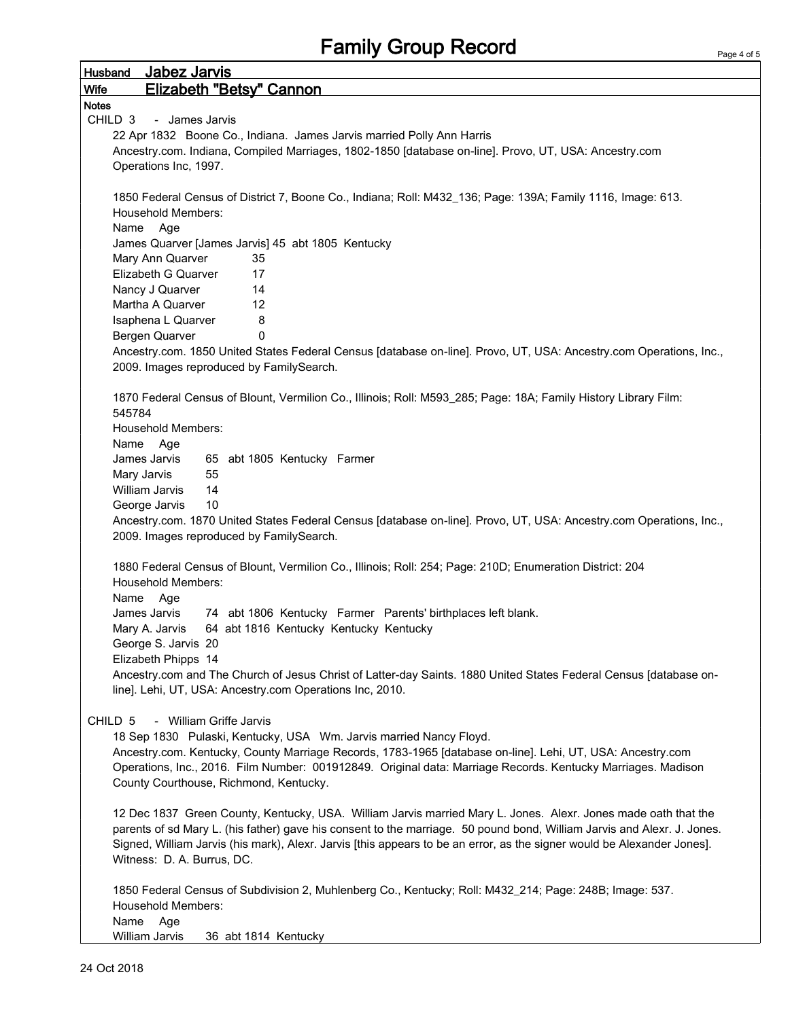| <b>Elizabeth "Betsy" Cannon</b><br><b>Wife</b><br><b>Notes</b>                                                          |
|-------------------------------------------------------------------------------------------------------------------------|
|                                                                                                                         |
|                                                                                                                         |
| CHILD <sub>3</sub><br>- James Jarvis                                                                                    |
| 22 Apr 1832 Boone Co., Indiana. James Jarvis married Polly Ann Harris                                                   |
| Ancestry.com. Indiana, Compiled Marriages, 1802-1850 [database on-line]. Provo, UT, USA: Ancestry.com                   |
| Operations Inc, 1997.                                                                                                   |
|                                                                                                                         |
| 1850 Federal Census of District 7, Boone Co., Indiana; Roll: M432_136; Page: 139A; Family 1116, Image: 613.             |
| <b>Household Members:</b>                                                                                               |
| Name<br>Age                                                                                                             |
| James Quarver [James Jarvis] 45 abt 1805 Kentucky                                                                       |
| Mary Ann Quarver<br>35                                                                                                  |
| Elizabeth G Quarver<br>17                                                                                               |
| Nancy J Quarver<br>14                                                                                                   |
| Martha A Quarver<br>12                                                                                                  |
| 8<br>Isaphena L Quarver                                                                                                 |
| 0<br>Bergen Quarver                                                                                                     |
| Ancestry.com. 1850 United States Federal Census [database on-line]. Provo, UT, USA: Ancestry.com Operations, Inc.,      |
| 2009. Images reproduced by FamilySearch.                                                                                |
|                                                                                                                         |
| 1870 Federal Census of Blount, Vermilion Co., Illinois; Roll: M593_285; Page: 18A; Family History Library Film:         |
| 545784                                                                                                                  |
| Household Members:                                                                                                      |
| Name Age                                                                                                                |
| James Jarvis<br>65 abt 1805 Kentucky Farmer                                                                             |
| Mary Jarvis<br>55                                                                                                       |
| William Jarvis<br>14                                                                                                    |
| George Jarvis<br>10                                                                                                     |
| Ancestry.com. 1870 United States Federal Census [database on-line]. Provo, UT, USA: Ancestry.com Operations, Inc.,      |
| 2009. Images reproduced by FamilySearch.                                                                                |
|                                                                                                                         |
| 1880 Federal Census of Blount, Vermilion Co., Illinois; Roll: 254; Page: 210D; Enumeration District: 204                |
| <b>Household Members:</b>                                                                                               |
| Name<br>Age                                                                                                             |
| 74 abt 1806 Kentucky Farmer Parents' birthplaces left blank.<br>James Jarvis                                            |
| 64 abt 1816 Kentucky Kentucky Kentucky<br>Mary A. Jarvis                                                                |
| George S. Jarvis 20                                                                                                     |
| Elizabeth Phipps 14                                                                                                     |
| Ancestry.com and The Church of Jesus Christ of Latter-day Saints. 1880 United States Federal Census [database on-       |
| line]. Lehi, UT, USA: Ancestry.com Operations Inc, 2010.                                                                |
|                                                                                                                         |
| - William Griffe Jarvis<br>CHILD 5                                                                                      |
| 18 Sep 1830 Pulaski, Kentucky, USA Wm. Jarvis married Nancy Floyd.                                                      |
| Ancestry.com. Kentucky, County Marriage Records, 1783-1965 [database on-line]. Lehi, UT, USA: Ancestry.com              |
| Operations, Inc., 2016. Film Number: 001912849. Original data: Marriage Records. Kentucky Marriages. Madison            |
| County Courthouse, Richmond, Kentucky.                                                                                  |
|                                                                                                                         |
| 12 Dec 1837 Green County, Kentucky, USA. William Jarvis married Mary L. Jones. Alexr. Jones made oath that the          |
| parents of sd Mary L. (his father) gave his consent to the marriage. 50 pound bond, William Jarvis and Alexr. J. Jones. |
| Signed, William Jarvis (his mark), Alexr. Jarvis [this appears to be an error, as the signer would be Alexander Jones]. |
| Witness: D. A. Burrus, DC.                                                                                              |
|                                                                                                                         |
| 1850 Federal Census of Subdivision 2, Muhlenberg Co., Kentucky; Roll: M432_214; Page: 248B; Image: 537.                 |
| <b>Household Members:</b>                                                                                               |
| Name<br>Age                                                                                                             |
| William Jarvis<br>36 abt 1814 Kentucky                                                                                  |

r